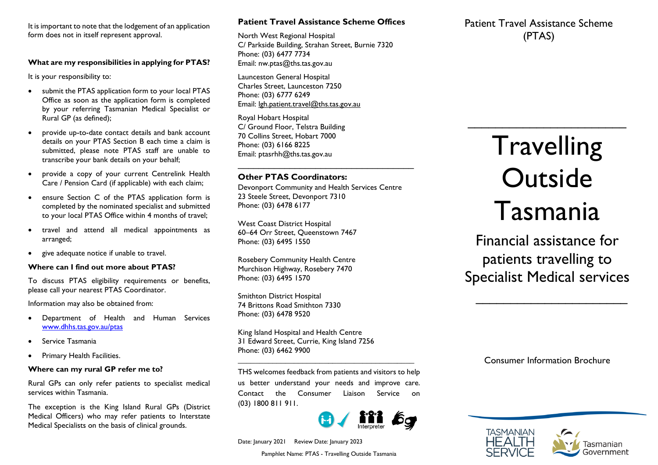It is important to note that the lodgement of an application form does not in itself represent approval.

#### **What are my responsibilities in applying for PTAS?**

It is your responsibility to:

- submit the PTAS application form to your local PTAS Office as soon as the application form is completed by your referring Tasmanian Medical Specialist or Rural GP (as defined);
- provide up-to-date contact details and bank account details on your PTAS Section B each time a claim is submitted, please note PTAS staff are unable to transcribe your bank details on your behalf;
- provide a copy of your current Centrelink Health Care / Pension Card (if applicable) with each claim;
- ensure Section C of the PTAS application form is completed by the nominated specialist and submitted to your local PTAS Office within 4 months of travel;
- travel and attend all medical appointments as arranged;
- give adequate notice if unable to travel.

#### **Where can I find out more about PTAS?**

To discuss PTAS eligibility requirements or benefits, please call your nearest PTAS Coordinator.

Information may also be obtained from:

- Department of Health and Human Services [www.dhhs.tas.gov.au/ptas](http://www.dhhs.tas.gov.au/ptas)
- Service Tasmania
- Primary Health Facilities.

### **Where can my rural GP refer me to?**

Rural GPs can only refer patients to specialist medical services within Tasmania.

The exception is the King Island Rural GPs (District Medical Officers) who may refer patients to Interstate Medical Specialists on the basis of clinical grounds.

# **Patient Travel Assistance Scheme Offices**

North West Regional Hospital C/ Parkside Building, Strahan Street, Burnie 7320 Phone: (03) 6477 7734 Email: [nw.ptas@ths.tas.gov.au](mailto:nw.ptas@ths.tas.gov.au)

Launceston General Hospital Charles Street, Launceston 7250 Phone: (03) 6777 6249 Email: [lgh.patient.travel@ths.tas.gov.au](mailto:lgh.patient.travel@ths.tas.gov.au) 

Royal Hobart Hospital C/ Ground Floor, Telstra Building 70 Collins Street, Hobart 7000 Phone: (03) 6166 8225 Email: [ptasrhh@ths.tas.gov.au](mailto:ptasrhh@ths.tas.gov.au) \_\_\_\_\_\_\_\_\_\_\_\_\_\_\_\_\_\_\_\_\_\_\_\_\_\_\_\_\_\_\_\_\_\_

# **Other PTAS Coordinators:**

Devonport Community and Health Services Centre 23 Steele Street, Devonport 7310 Phone: (03) 6478 6177

West Coast District Hospital 60–64 Orr Street, Queenstown 7467 Phone: (03) 6495 1550

Rosebery Community Health Centre Murchison Highway, Rosebery 7470 Phone: (03) 6495 1570

Smithton District Hospital 74 Brittons Road Smithton 7330 Phone: (03) 6478 9520

King Island Hospital and Health Centre 31 Edward Street, Currie, King Island 7256 Phone: (03) 6462 9900

THS welcomes feedback from patients and visitors to help us better understand your needs and improve care. Contact the Consumer Liaison Service on (03) 1800 811 911.

*\_\_\_\_\_\_\_\_\_\_\_\_\_\_\_\_\_\_\_\_\_\_\_\_\_\_\_\_\_\_\_\_\_\_\_\_\_\_\_\_\_*



Date: January 2021 Review Date: January 2023

Pamphlet Name: PTAS - Travelling Outside Tasmania

# Patient Travel Assistance Scheme (PTAS)

# **Travelling Outside** Tasmania

\_\_\_\_\_\_\_\_\_\_\_\_\_\_\_\_\_\_\_\_\_\_\_

Financial assistance for patients travelling to Specialist Medical services

 $\mathcal{L}=\mathcal{L}^{\mathcal{L}}$ 

Consumer Information Brochure